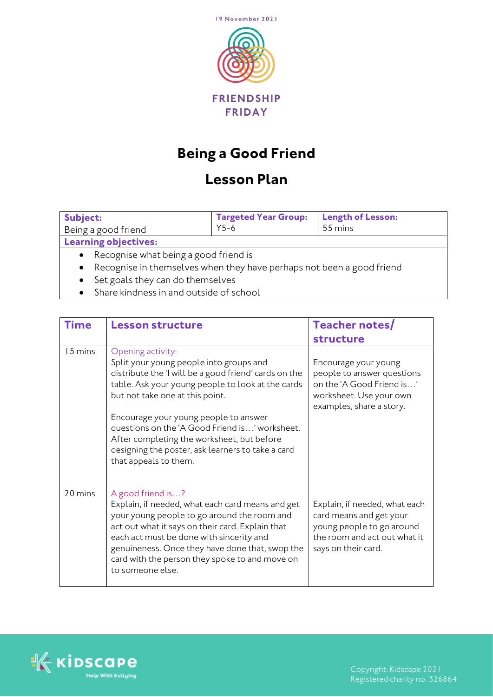

## **Being a Good Friend**

## **Lesson Plan**

| Subject:                                                              | <b>Targeted Year Group:</b> | Length of Lesson: |  |  |
|-----------------------------------------------------------------------|-----------------------------|-------------------|--|--|
| Being a good friend                                                   | $Y5-6$                      | 55 mins           |  |  |
| Learning objectives:                                                  |                             |                   |  |  |
| Recognise what being a good friend is                                 |                             |                   |  |  |
| Recognise in themselves when they have perhaps not been a good friend |                             |                   |  |  |

- Set goals they can do themselves
- Share kindness in and outside of school

| Time    | <b>Lesson structure</b>                                                                                                                                                                                                                                                                                                                                                                                                              | <b>Teacher notes/</b>                                                                                                                        |
|---------|--------------------------------------------------------------------------------------------------------------------------------------------------------------------------------------------------------------------------------------------------------------------------------------------------------------------------------------------------------------------------------------------------------------------------------------|----------------------------------------------------------------------------------------------------------------------------------------------|
|         |                                                                                                                                                                                                                                                                                                                                                                                                                                      | structure                                                                                                                                    |
| 15 mins | Opening activity:<br>Split your young people into groups and<br>distribute the 'I will be a good friend' cards on the<br>table. Ask your young people to look at the cards<br>but not take one at this point.<br>Encourage your young people to answer<br>questions on the 'A Good Friend is' worksheet.<br>After completing the worksheet, but before<br>designing the poster, ask learners to take a card<br>that appeals to them. | Encourage your young<br>people to answer questions<br>on the 'A Good Friend is'<br>worksheet. Use your own<br>examples, share a story.       |
| 20 mins | A good friend is?<br>Explain, if needed, what each card means and get<br>your young people to go around the room and<br>act out what it says on their card. Explain that<br>each act must be done with sincerity and<br>genuineness. Once they have done that, swop the<br>card with the person they spoke to and move on<br>to someone else.                                                                                        | Explain, if needed, what each<br>card means and get your<br>young people to go around<br>the room and act out what it<br>says on their card. |

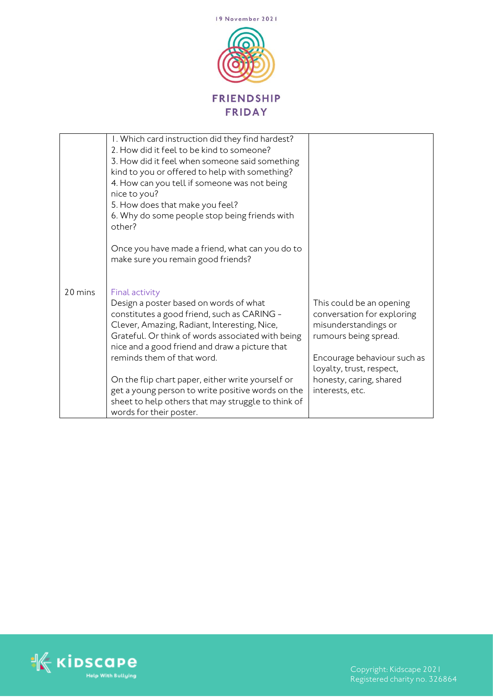

|         | I. Which card instruction did they find hardest?<br>2. How did it feel to be kind to someone?<br>3. How did it feel when someone said something<br>kind to you or offered to help with something?<br>4. How can you tell if someone was not being<br>nice to you?<br>5. How does that make you feel?<br>6. Why do some people stop being friends with<br>other? |                                                                                                                                                                    |
|---------|-----------------------------------------------------------------------------------------------------------------------------------------------------------------------------------------------------------------------------------------------------------------------------------------------------------------------------------------------------------------|--------------------------------------------------------------------------------------------------------------------------------------------------------------------|
|         | Once you have made a friend, what can you do to<br>make sure you remain good friends?                                                                                                                                                                                                                                                                           |                                                                                                                                                                    |
| 20 mins | Final activity<br>Design a poster based on words of what<br>constitutes a good friend, such as CARING -<br>Clever, Amazing, Radiant, Interesting, Nice,<br>Grateful. Or think of words associated with being<br>nice and a good friend and draw a picture that<br>reminds them of that word.                                                                    | This could be an opening<br>conversation for exploring<br>misunderstandings or<br>rumours being spread.<br>Encourage behaviour such as<br>loyalty, trust, respect, |
|         | On the flip chart paper, either write yourself or<br>get a young person to write positive words on the<br>sheet to help others that may struggle to think of<br>words for their poster.                                                                                                                                                                         | honesty, caring, shared<br>interests, etc.                                                                                                                         |



Registered charity no. 326864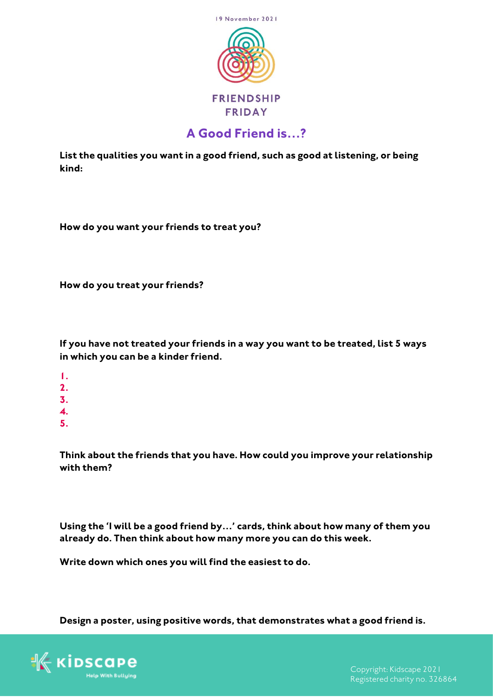

## **A Good Friend is…?**

**List the qualities you want in a good friend, such as good at listening, or being kind:**

**How do you want your friends to treat you?**

**How do you treat your friends?**

**If you have not treated your friends in a way you want to be treated, list 5 ways in which you can be a kinder friend.**

- **1.**
- **2.**
- **3.**
- **4.**
- **5.**

**Think about the friends that you have. How could you improve your relationship with them?**

**Using the 'I will be a good friend by…' cards, think about how many of them you already do. Then think about how many more you can do this week.** 

**Write down which ones you will find the easiest to do.**

**Design a poster, using positive words, that demonstrates what a good friend is.**



Copyright: Kidscape 2021 Registered charity no. 326864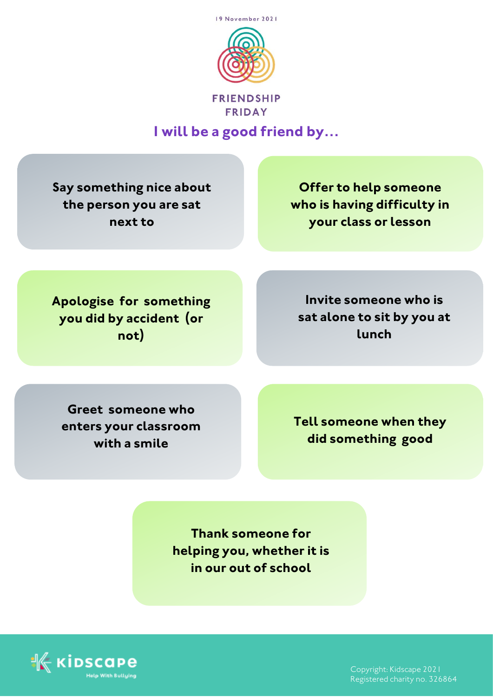

**FRIENDSHIP FRIDAY** 

**I will be a good friend by…**

**Say something nice about the person you are sat next to**

**Offer to help someone who is having difficulty in your class or lesson**

**Apologise for something you did by accident (or not)**

**Invite someone who is sat alone to sit by you at lunch**

**Greet someone who enters your classroom with a smile**

**Tell someone when they did something good**

**Thank someone for helping you, whether it is in our out of school**



Registered charity no. 326864